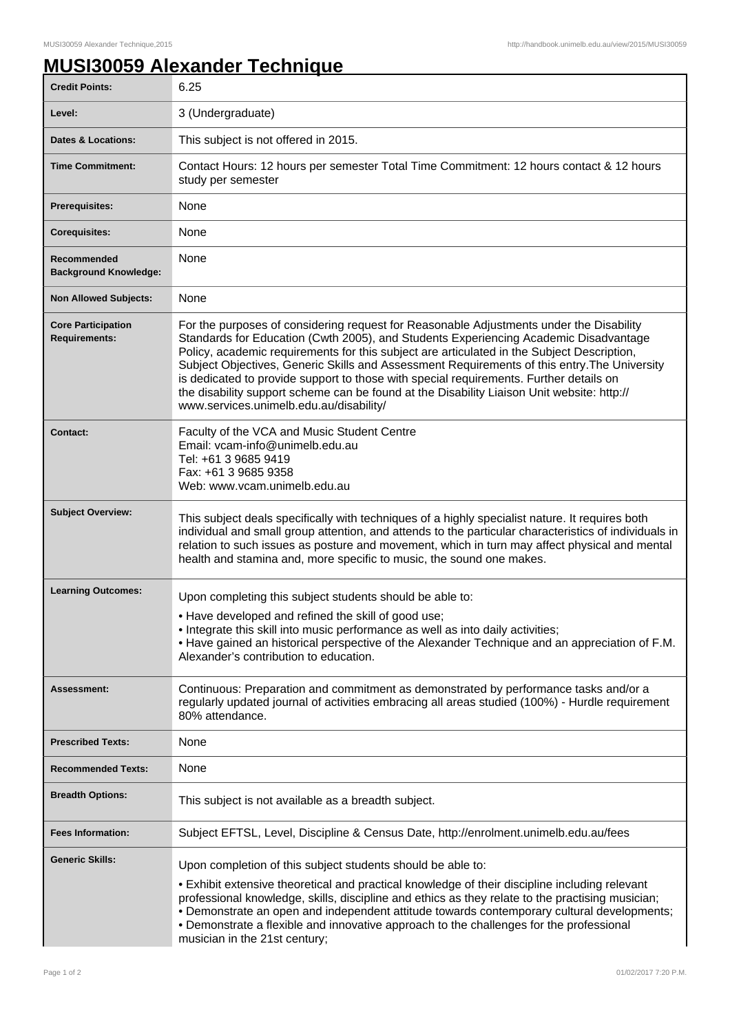## **MUSI30059 Alexander Technique**

| <b>Credit Points:</b>                             | 6.25                                                                                                                                                                                                                                                                                                                                                                                                                                                                                                                                                                                                             |
|---------------------------------------------------|------------------------------------------------------------------------------------------------------------------------------------------------------------------------------------------------------------------------------------------------------------------------------------------------------------------------------------------------------------------------------------------------------------------------------------------------------------------------------------------------------------------------------------------------------------------------------------------------------------------|
| Level:                                            | 3 (Undergraduate)                                                                                                                                                                                                                                                                                                                                                                                                                                                                                                                                                                                                |
| <b>Dates &amp; Locations:</b>                     | This subject is not offered in 2015.                                                                                                                                                                                                                                                                                                                                                                                                                                                                                                                                                                             |
| <b>Time Commitment:</b>                           | Contact Hours: 12 hours per semester Total Time Commitment: 12 hours contact & 12 hours<br>study per semester                                                                                                                                                                                                                                                                                                                                                                                                                                                                                                    |
| <b>Prerequisites:</b>                             | None                                                                                                                                                                                                                                                                                                                                                                                                                                                                                                                                                                                                             |
| <b>Corequisites:</b>                              | None                                                                                                                                                                                                                                                                                                                                                                                                                                                                                                                                                                                                             |
| Recommended<br><b>Background Knowledge:</b>       | None                                                                                                                                                                                                                                                                                                                                                                                                                                                                                                                                                                                                             |
| <b>Non Allowed Subjects:</b>                      | None                                                                                                                                                                                                                                                                                                                                                                                                                                                                                                                                                                                                             |
| <b>Core Participation</b><br><b>Requirements:</b> | For the purposes of considering request for Reasonable Adjustments under the Disability<br>Standards for Education (Cwth 2005), and Students Experiencing Academic Disadvantage<br>Policy, academic requirements for this subject are articulated in the Subject Description,<br>Subject Objectives, Generic Skills and Assessment Requirements of this entry. The University<br>is dedicated to provide support to those with special requirements. Further details on<br>the disability support scheme can be found at the Disability Liaison Unit website: http://<br>www.services.unimelb.edu.au/disability/ |
| <b>Contact:</b>                                   | Faculty of the VCA and Music Student Centre<br>Email: vcam-info@unimelb.edu.au<br>Tel: +61 3 9685 9419<br>Fax: +61 3 9685 9358<br>Web: www.vcam.unimelb.edu.au                                                                                                                                                                                                                                                                                                                                                                                                                                                   |
| <b>Subject Overview:</b>                          | This subject deals specifically with techniques of a highly specialist nature. It requires both<br>individual and small group attention, and attends to the particular characteristics of individuals in<br>relation to such issues as posture and movement, which in turn may affect physical and mental<br>health and stamina and, more specific to music, the sound one makes.                                                                                                                                                                                                                                |
| <b>Learning Outcomes:</b>                         | Upon completing this subject students should be able to:<br>. Have developed and refined the skill of good use;<br>• Integrate this skill into music performance as well as into daily activities;<br>• Have gained an historical perspective of the Alexander Technique and an appreciation of F.M.<br>Alexander's contribution to education.                                                                                                                                                                                                                                                                   |
| Assessment:                                       | Continuous: Preparation and commitment as demonstrated by performance tasks and/or a<br>regularly updated journal of activities embracing all areas studied (100%) - Hurdle requirement<br>80% attendance.                                                                                                                                                                                                                                                                                                                                                                                                       |
| <b>Prescribed Texts:</b>                          | None                                                                                                                                                                                                                                                                                                                                                                                                                                                                                                                                                                                                             |
| <b>Recommended Texts:</b>                         | None                                                                                                                                                                                                                                                                                                                                                                                                                                                                                                                                                                                                             |
| <b>Breadth Options:</b>                           | This subject is not available as a breadth subject.                                                                                                                                                                                                                                                                                                                                                                                                                                                                                                                                                              |
| <b>Fees Information:</b>                          | Subject EFTSL, Level, Discipline & Census Date, http://enrolment.unimelb.edu.au/fees                                                                                                                                                                                                                                                                                                                                                                                                                                                                                                                             |
| <b>Generic Skills:</b>                            | Upon completion of this subject students should be able to:<br>• Exhibit extensive theoretical and practical knowledge of their discipline including relevant<br>professional knowledge, skills, discipline and ethics as they relate to the practising musician;<br>• Demonstrate an open and independent attitude towards contemporary cultural developments;<br>• Demonstrate a flexible and innovative approach to the challenges for the professional<br>musician in the 21st century;                                                                                                                      |